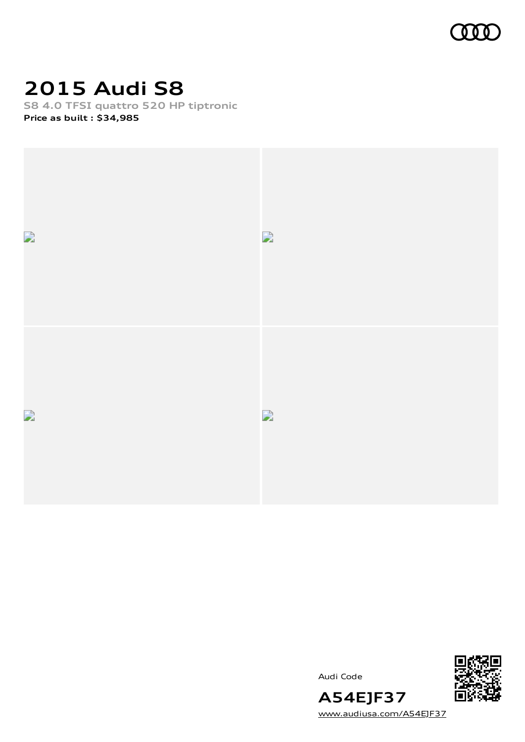

# **2015 Audi S8**

**S8 4.0 TFSI quattro 520 HP tiptronic Price as built [:](#page-10-0) \$34,985**





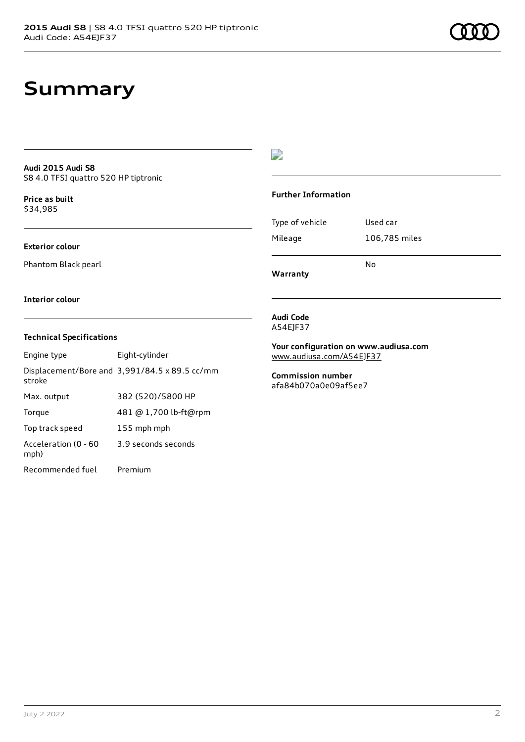### **Audi 2015 Audi S8** S8 4.0 TFSI quattro 520 HP tiptronic

**Price as buil[t](#page-10-0)** \$34,985

## **Exterior colour**

Phantom Black pearl

### $\overline{\phantom{a}}$

### **Further Information**

| Mileage | 106,785 miles |
|---------|---------------|

**Warranty**

No

### **Interior colour**

### **Technical Specifications**

| Engine type                  | Eight-cylinder                                |
|------------------------------|-----------------------------------------------|
| stroke                       | Displacement/Bore and 3,991/84.5 x 89.5 cc/mm |
| Max. output                  | 382 (520)/5800 HP                             |
| Torque                       | 481 @ 1,700 lb-ft@rpm                         |
| Top track speed              | 155 mph mph                                   |
| Acceleration (0 - 60<br>mph) | 3.9 seconds seconds                           |
| Recommended fuel             | Premium                                       |

#### **Audi Code** A54EJF37

**Your configuration on www.audiusa.com** [www.audiusa.com/A54EJF37](https://www.audiusa.com/A54EJF37)

**Commission number** afa84b070a0e09af5ee7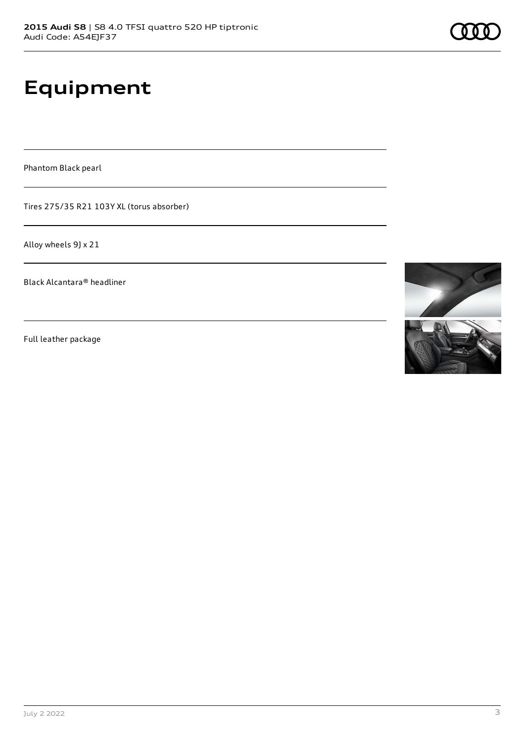# **Equipment**

Phantom Black pearl

Tires 275/35 R21 103Y XL (torus absorber)

Alloy wheels 9J x 21

Black Alcantara® headliner

Full leather package

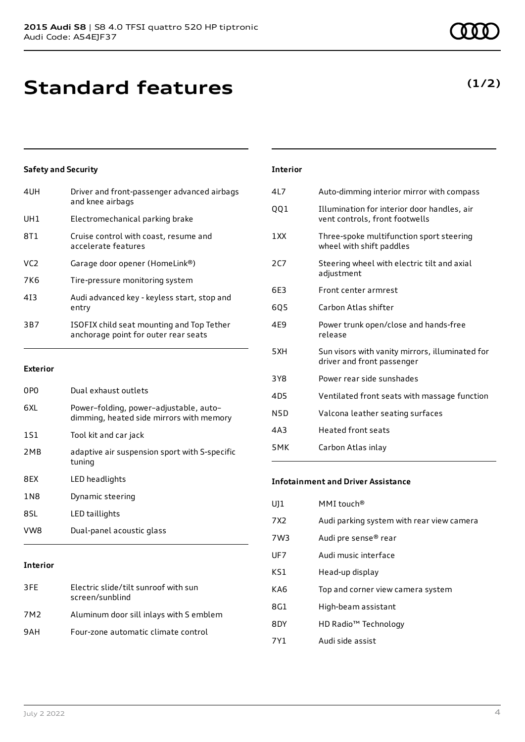# **Standard features**

### **Safety and Security**

| 4UH             | Driver and front-passenger advanced airbags<br>and knee airbags                   |
|-----------------|-----------------------------------------------------------------------------------|
| UH1             | Electromechanical parking brake                                                   |
| 8T1             | Cruise control with coast, resume and<br>accelerate features                      |
| VC <sub>2</sub> | Garage door opener (HomeLink®)                                                    |
| 7K6             | Tire-pressure monitoring system                                                   |
| 413             | Audi advanced key - keyless start, stop and<br>entry                              |
| 3B7             | ISOFIX child seat mounting and Top Tether<br>anchorage point for outer rear seats |
|                 |                                                                                   |

### **Exterior**

| 0P <sub>0</sub> | Dual exhaust outlets                                                               |
|-----------------|------------------------------------------------------------------------------------|
| 6XL             | Power-folding, power-adjustable, auto-<br>dimming, heated side mirrors with memory |
| 1S1             | Tool kit and car jack                                                              |
| 2 <sub>MB</sub> | adaptive air suspension sport with S-specific<br>tuning                            |
| 8EX             | LED headlights                                                                     |
| 1N8             | Dynamic steering                                                                   |
| 8SL             | LED taillights                                                                     |
| VW8             | Dual-panel acoustic glass                                                          |

### **Interior**

| 3FF | Electric slide/tilt sunroof with sun<br>screen/sunblind |
|-----|---------------------------------------------------------|
| 7M2 | Aluminum door sill inlays with S emblem                 |
| 9AH | Four-zone automatic climate control                     |

# **Interior**

| 4L7 | Auto-dimming interior mirror with compass                                     |
|-----|-------------------------------------------------------------------------------|
| QQ1 | Illumination for interior door handles, air<br>vent controls, front footwells |
| 1XX | Three-spoke multifunction sport steering<br>wheel with shift paddles          |
| 2C7 | Steering wheel with electric tilt and axial<br>adjustment                     |
| 6E3 | Front center armrest                                                          |
| 6Q5 | Carbon Atlas shifter                                                          |
| 4E9 | Power trunk open/close and hands-free<br>release                              |
| 5XH | Sun visors with vanity mirrors, illuminated for<br>driver and front passenger |
| 3Y8 | Power rear side sunshades                                                     |
| 4D5 | Ventilated front seats with massage function                                  |
| N5D | Valcona leather seating surfaces                                              |
| 4A3 | <b>Heated front seats</b>                                                     |
| 5MK | Carbon Atlas inlay                                                            |
|     |                                                                               |

#### **Infotainment and Driver Assistance**

| UJ1             | MMI touch <sup>®</sup>                    |
|-----------------|-------------------------------------------|
| 7X <sub>2</sub> | Audi parking system with rear view camera |
| 7W3             | Audi pre sense <sup>®</sup> rear          |
| UF7             | Audi music interface                      |
| KS1             | Head-up display                           |
| KA6             | Top and corner view camera system         |
| 8G1             | High-beam assistant                       |
| 8DY             | HD Radio <sup>™</sup> Technology          |
| 7Y1             | Audi side assist                          |

# **(1/2)**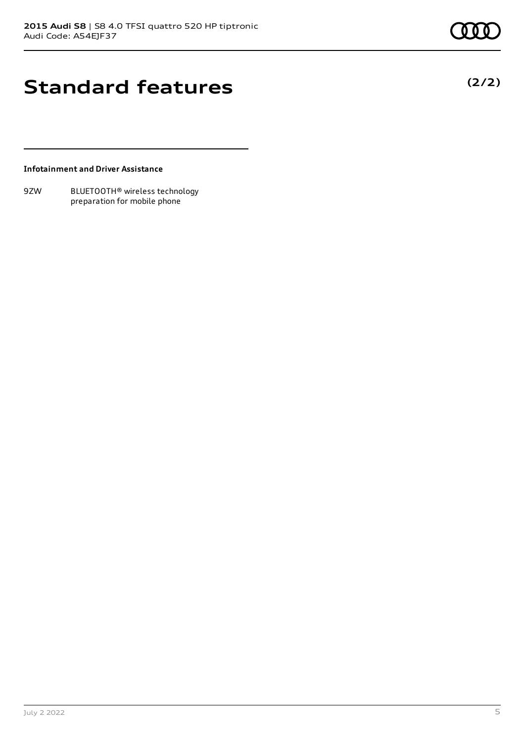**(2/2)**

# **Standard features**

**Infotainment and Driver Assistance**

9ZW BLUETOOTH® wireless technology preparation for mobile phone

July 2 2022 5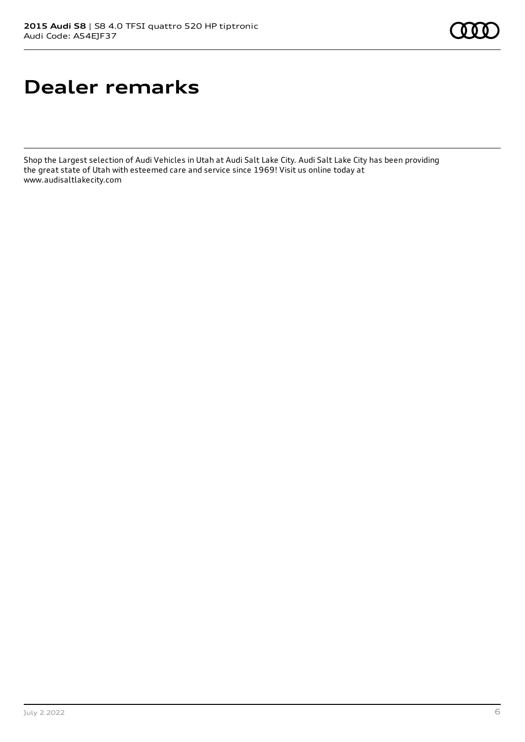# **Dealer remarks**

Shop the Largest selection of Audi Vehicles in Utah at Audi Salt Lake City. Audi Salt Lake City has been providing the great state of Utah with esteemed care and service since 1969! Visit us online today at www.audisaltlakecity.com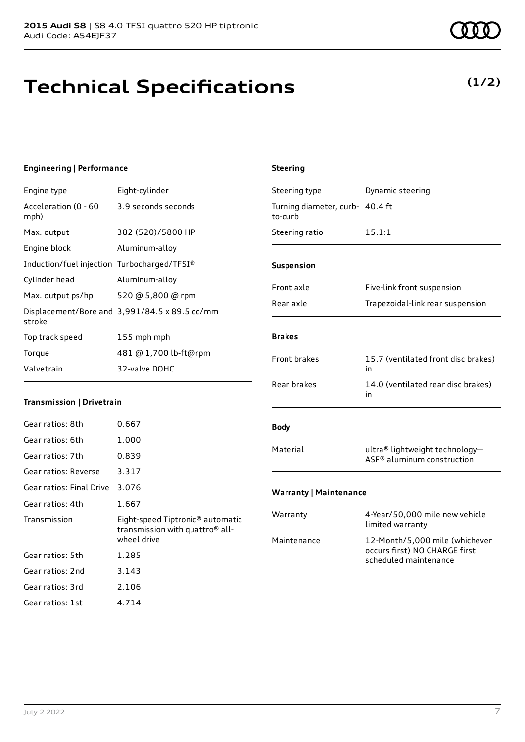# **Technical Specifications**

### **Engineering | Performance**

| Engine type                                 | Eight-cylinder                                |
|---------------------------------------------|-----------------------------------------------|
| Acceleration (0 - 60<br>mph)                | 3.9 seconds seconds                           |
| Max. output                                 | 382 (520)/5800 HP                             |
| Engine block                                | Aluminum-alloy                                |
| Induction/fuel injection Turbocharged/TFSI® |                                               |
| Cylinder head                               | Aluminum-alloy                                |
| Max. output ps/hp                           | 520 @ 5,800 @ rpm                             |
| stroke                                      | Displacement/Bore and 3,991/84.5 x 89.5 cc/mm |
| Top track speed                             | 155 mph mph                                   |
| Torque                                      | 481 @ 1,700 lb-ft@rpm                         |
| Valvetrain                                  | 32-valve DOHC                                 |

### **Transmission | Drivetrain**

| Gear ratios: 8th         | 0.667                                                                                                      |
|--------------------------|------------------------------------------------------------------------------------------------------------|
| Gear ratios: 6th         | 1.000                                                                                                      |
| Gear ratios: 7th         | 0.839                                                                                                      |
| Gear ratios: Reverse     | 3.317                                                                                                      |
| Gear ratios: Final Drive | 3.076                                                                                                      |
| Gear ratios: 4th         | 1.667                                                                                                      |
| Transmission             | Eight-speed Tiptronic <sup>®</sup> automatic<br>transmission with quattro <sup>®</sup> all-<br>wheel drive |
|                          |                                                                                                            |
| Gear ratios: 5th         | 1.285                                                                                                      |
| Gear ratios: 2nd         | 3.143                                                                                                      |
| Gear ratios: 3rd         | 2.106                                                                                                      |

# **Steering** Steering type **Dynamic steering** Turning diameter, curb-40.4 ft to-curb Steering ratio 15.1:1 **Suspension** Front axle Five-link front suspension Rear axle Trapezoidal-link rear suspension **Brakes** Front brakes 15.7 (ventilated front disc brakes) in Rear brakes 14.0 (ventilated rear disc brakes) in **Body** Material ultra® lightweight technology-ASF® aluminum construction **Warranty | Maintenance** Warranty 4-Year/50,000 mile new vehicle limited warranty Maintenance 12-Month/5,000 mile (whichever occurs first) NO CHARGE first

scheduled maintenance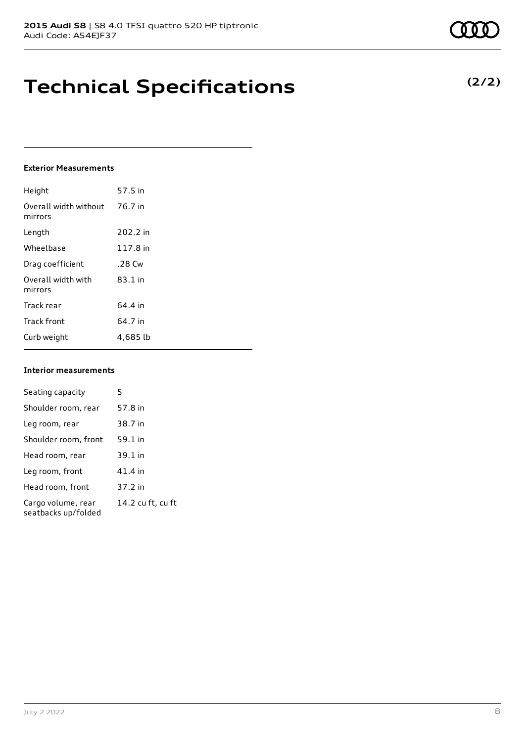# **Technical Specifications**

### **Exterior Measurements**

| Height                           | 57.5 in  |
|----------------------------------|----------|
| Overall width without<br>mirrors | 76.7 in  |
| Length                           | 202.2 in |
| Wheelbase                        | 117.8 in |
| Drag coefficient                 | .28 Cw   |
| Overall width with<br>mirrors    | 83.1 in  |
| Track rear                       | 64.4 in  |
| <b>Track front</b>               | 64.7 in  |
| Curb weight                      | 4,685 lb |

### **Interior measurements**

| Seating capacity                          | 5                 |
|-------------------------------------------|-------------------|
| Shoulder room, rear                       | 57.8 in           |
| Leg room, rear                            | 38.7 in           |
| Shoulder room, front                      | 59.1 in           |
| Head room, rear                           | 39.1 in           |
| Leg room, front                           | 41.4 in           |
| Head room, front                          | 37.2 in           |
| Cargo volume, rear<br>seatbacks up/folded | 14.2 cu ft, cu ft |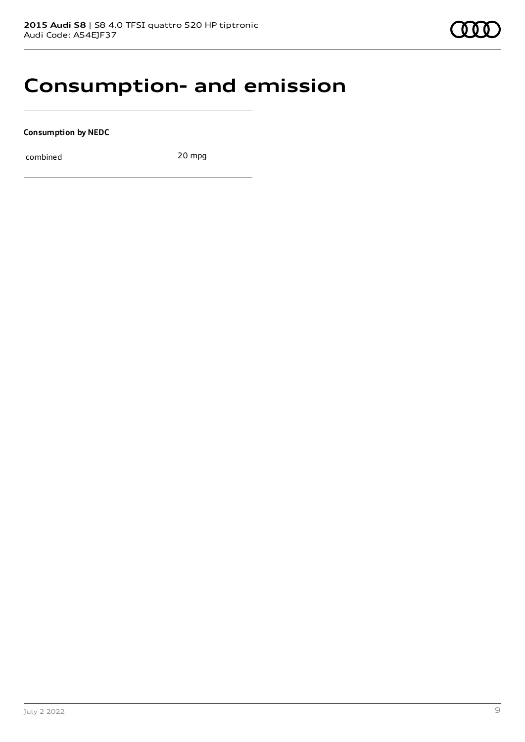# **Consumption- and emission**

**Consumption by NEDC**

combined 20 mpg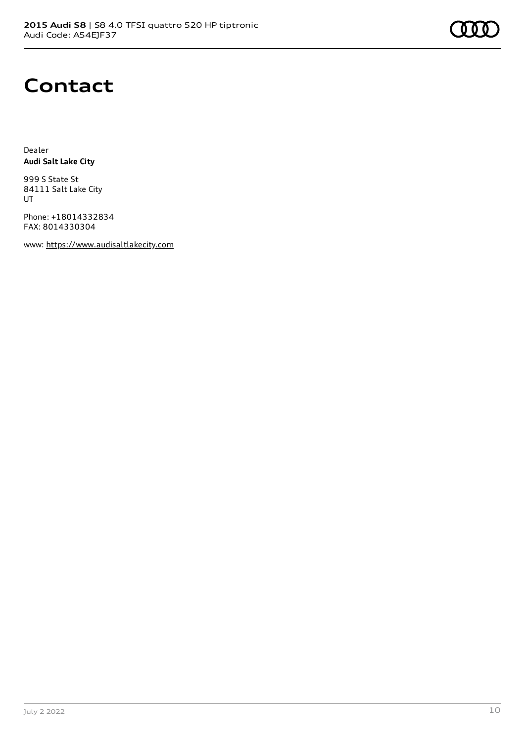# **Contact**

Dealer **Audi Salt Lake City**

999 S State St 84111 Salt Lake City UT

Phone: +18014332834 FAX: 8014330304

www: [https://www.audisaltlakecity.com](https://www.audisaltlakecity.com/)